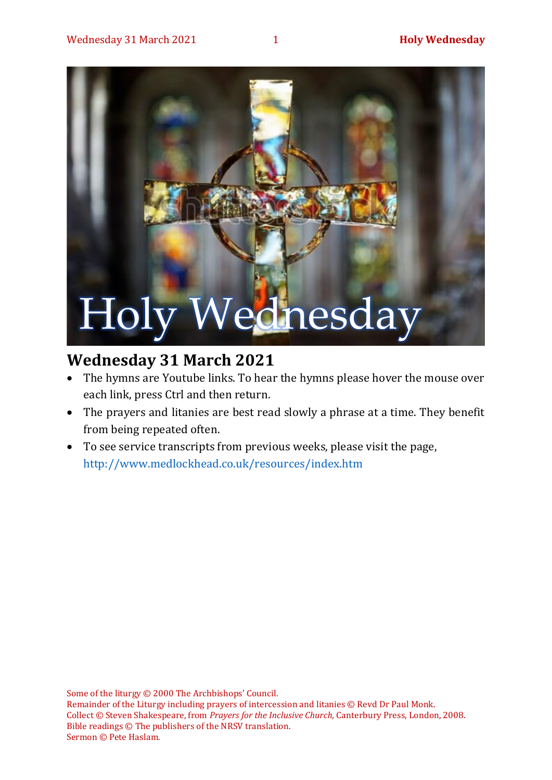# Holy Wednesday

# **Wednesday 31 March 2021**

- The hymns are Youtube links. To hear the hymns please hover the mouse over each link, press Ctrl and then return.
- The prayers and litanies are best read slowly a phrase at a time. They benefit from being repeated often.
- To see service transcripts from previous weeks, please visit the page, <http://www.medlockhead.co.uk/resources/index.htm>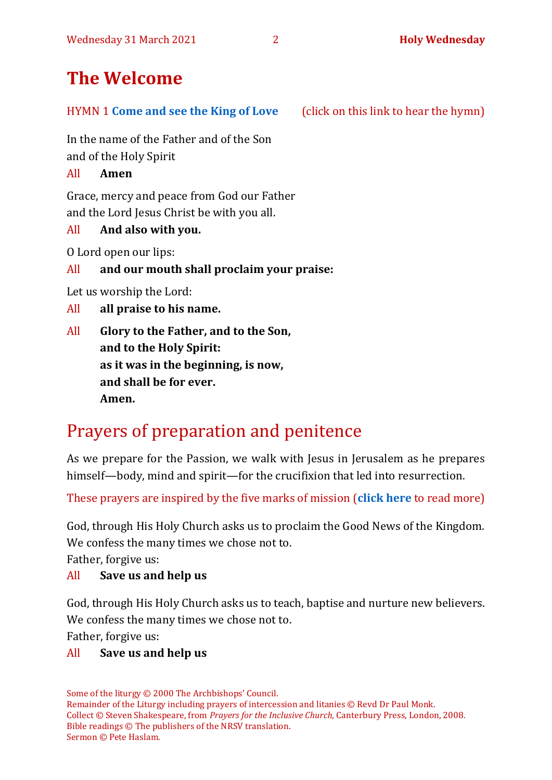# **The Welcome**

#### HYMN 1 **[Come and see the King of Love](https://www.youtube.com/watch?v=Vz9rgVEm2WY)** (click on this link to hear the hymn)

In the name of the Father and of the Son and of the Holy Spirit

All **Amen**

Grace, mercy and peace from God our Father and the Lord Jesus Christ be with you all.

# All **And also with you.**

O Lord open our lips:

All **and our mouth shall proclaim your praise:**

Let us worship the Lord:

All **all praise to his name.**

All **Glory to the Father, and to the Son, and to the Holy Spirit: as it was in the beginning, is now, and shall be for ever. Amen.**

# Prayers of preparation and penitence

As we prepare for the Passion, we walk with Jesus in Jerusalem as he prepares himself—body, mind and spirit—for the crucifixion that led into resurrection.

These prayers are inspired by the five marks of mission (**[click here](https://www.anglicancommunion.org/mission/marks-of-mission.aspx)** to read more)

God, through His Holy Church asks us to proclaim the Good News of the Kingdom. We confess the many times we chose not to.

Father, forgive us:

# All **Save us and help us**

God, through His Holy Church asks us to teach, baptise and nurture new believers. We confess the many times we chose not to.

Father, forgive us:

### All **Save us and help us**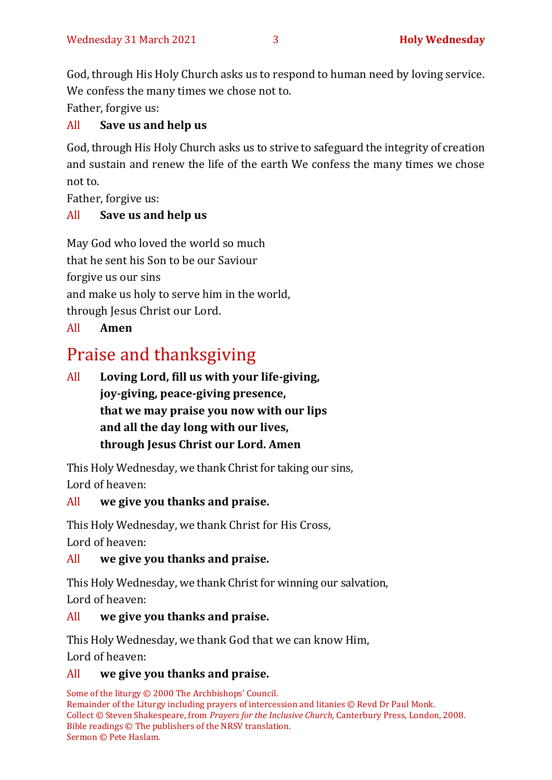God, through His Holy Church asks us to respond to human need by loving service. We confess the many times we chose not to.

Father, forgive us:

# All **Save us and help us**

God, through His Holy Church asks us to strive to safeguard the integrity of creation and sustain and renew the life of the earth We confess the many times we chose not to.

Father, forgive us:

# All **Save us and help us**

May God who loved the world so much that he sent his Son to be our Saviour forgive us our sins and make us holy to serve him in the world, through Jesus Christ our Lord.

# All **Amen**

# Praise and thanksgiving

All **Loving Lord, fill us with your life-giving, joy-giving, peace-giving presence, that we may praise you now with our lips and all the day long with our lives, through Jesus Christ our Lord. Amen**

This Holy Wednesday, we thank Christ for taking our sins, Lord of heaven:

# All **we give you thanks and praise.**

This Holy Wednesday, we thank Christ for His Cross, Lord of heaven:

# All **we give you thanks and praise.**

This Holy Wednesday, we thank Christ for winning our salvation, Lord of heaven:

# All **we give you thanks and praise.**

This Holy Wednesday, we thank God that we can know Him, Lord of heaven:

# All **we give you thanks and praise.**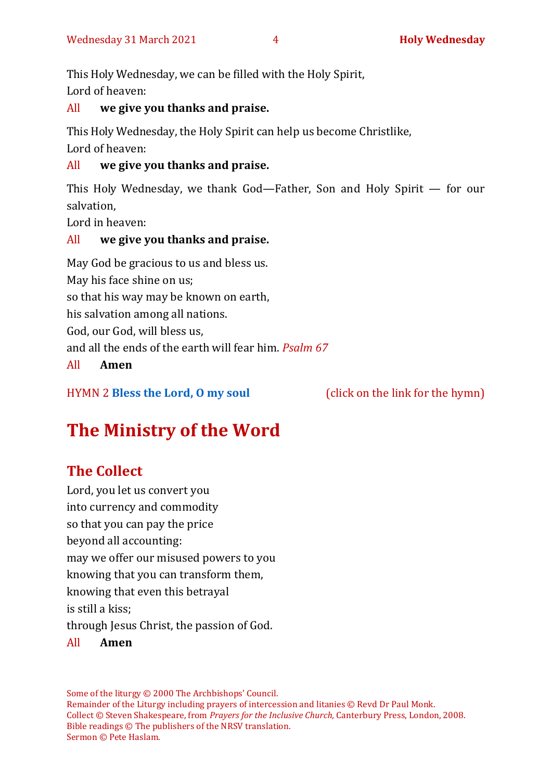This Holy Wednesday, we can be filled with the Holy Spirit, Lord of heaven:

### All **we give you thanks and praise.**

This Holy Wednesday, the Holy Spirit can help us become Christlike, Lord of heaven:

### All **we give you thanks and praise.**

This Holy Wednesday, we thank God—Father, Son and Holy Spirit — for our salvation,

Lord in heaven:

# All **we give you thanks and praise.**

May God be gracious to us and bless us. May his face shine on us; so that his way may be known on earth, his salvation among all nations. God, our God, will bless us, and all the ends of the earth will fear him. *Psalm 67* All **Amen**

HYMN 2 **[Bless the Lord, O my soul](https://www.youtube.com/watch?v=3IC2XWBxktk)** (click on the link for the hymn)

# **The Ministry of the Word**

# **The Collect**

Lord, you let us convert you into currency and commodity so that you can pay the price beyond all accounting: may we offer our misused powers to you knowing that you can transform them, knowing that even this betrayal is still a kiss; through Jesus Christ, the passion of God. All **Amen**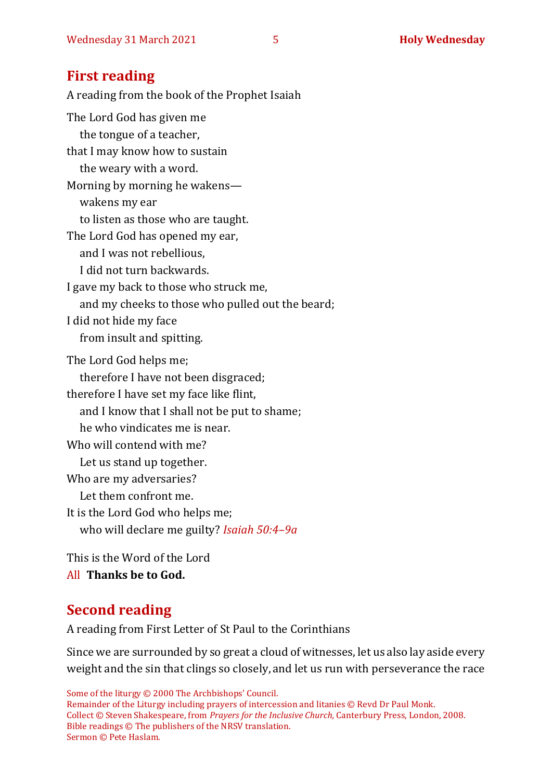# **First reading**

A reading from the book of the Prophet Isaiah The Lord God has given me the tongue of a teacher, that I may know how to sustain the weary with a word. Morning by morning he wakens wakens my ear to listen as those who are taught. The Lord God has opened my ear, and I was not rebellious, I did not turn backwards. I gave my back to those who struck me, and my cheeks to those who pulled out the beard; I did not hide my face from insult and spitting. The Lord God helps me; therefore I have not been disgraced; therefore I have set my face like flint, and I know that I shall not be put to shame; he who vindicates me is near. Who will contend with me? Let us stand up together. Who are my adversaries? Let them confront me. It is the Lord God who helps me; who will declare me guilty? *Isaiah 50:4–9a*

This is the Word of the Lord All **Thanks be to God.**

# **Second reading**

A reading from First Letter of St Paul to the Corinthians

Since we are surrounded by so great a cloud of witnesses, let us also lay aside every weight and the sin that clings so closely, and let us run with perseverance the race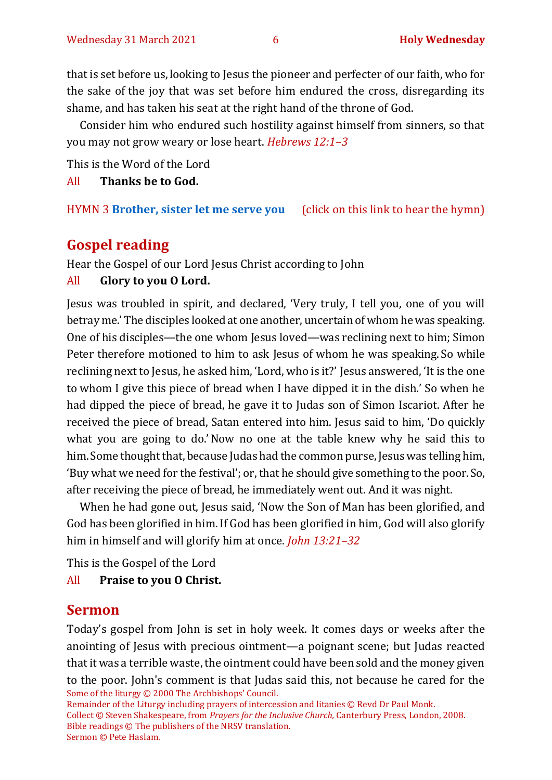that is set before us, looking to Jesus the pioneer and perfecter of our faith, who for the sake of the joy that was set before him endured the cross, disregarding its shame, and has taken his seat at the right hand of the throne of God.

Consider him who endured such hostility against himself from sinners, so that you may not grow weary or lose heart. *Hebrews 12:1–3*

This is the Word of the Lord

All **Thanks be to God.**

HYMN 3 **[Brother, sister let me serve you](https://www.youtube.com/watch?v=hlNoxoOocZs)** (click on this link to hear the hymn)

# **Gospel reading**

Hear the Gospel of our Lord Jesus Christ according to John

#### All **Glory to you O Lord.**

Jesus was troubled in spirit, and declared, 'Very truly, I tell you, one of you will betray me.' The disciples looked at one another, uncertain of whom he was speaking. One of his disciples—the one whom Jesus loved—was reclining next to him; Simon Peter therefore motioned to him to ask Jesus of whom he was speaking. So while reclining next to Jesus, he asked him, 'Lord, who is it?' Jesus answered, 'It is the one to whom I give this piece of bread when I have dipped it in the dish.' So when he had dipped the piece of bread, he gave it to Judas son of Simon Iscariot. After he received the piece of bread, Satan entered into him. Jesus said to him, 'Do quickly what you are going to do.'Now no one at the table knew why he said this to him. Some thought that, because Judas had the common purse, Jesus was telling him, 'Buy what we need for the festival'; or, that he should give something to the poor. So, after receiving the piece of bread, he immediately went out. And it was night.

When he had gone out, Jesus said, 'Now the Son of Man has been glorified, and God has been glorified in him.If God has been glorified in him, God will also glorify him in himself and will glorify him at once. *John 13:21–32*

This is the Gospel of the Lord

#### All **Praise to you O Christ.**

### **Sermon**

Some of the liturgy © 2000 The Archbishops' Council. Today's gospel from John is set in holy week. It comes days or weeks after the anointing of Jesus with precious ointment—a poignant scene; but Judas reacted that it was a terrible waste, the ointment could have been sold and the money given to the poor. John's comment is that Judas said this, not because he cared for the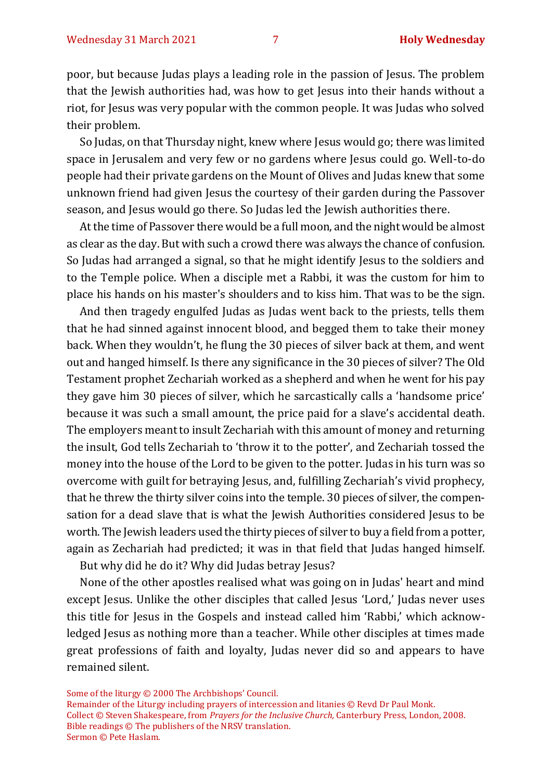poor, but because Judas plays a leading role in the passion of Jesus. The problem that the Jewish authorities had, was how to get Jesus into their hands without a riot, for Jesus was very popular with the common people. It was Judas who solved their problem.

So Judas, on that Thursday night, knew where Jesus would go; there was limited space in Jerusalem and very few or no gardens where Jesus could go. Well-to-do people had their private gardens on the Mount of Olives and Judas knew that some unknown friend had given Jesus the courtesy of their garden during the Passover season, and Jesus would go there. So Judas led the Jewish authorities there.

At the time of Passover there would be a full moon, and the night would be almost as clear as the day. But with such a crowd there was always the chance of confusion. So Judas had arranged a signal, so that he might identify Jesus to the soldiers and to the Temple police. When a disciple met a Rabbi, it was the custom for him to place his hands on his master's shoulders and to kiss him. That was to be the sign.

And then tragedy engulfed Judas as Judas went back to the priests, tells them that he had sinned against innocent blood, and begged them to take their money back. When they wouldn't, he flung the 30 pieces of silver back at them, and went out and hanged himself. Is there any significance in the 30 pieces of silver? The Old Testament prophet Zechariah worked as a shepherd and when he went for his pay they gave him 30 pieces of silver, which he sarcastically calls a 'handsome price' because it was such a small amount, the price paid for a slave's accidental death. The employers meant to insult Zechariah with this amount of money and returning the insult, God tells Zechariah to 'throw it to the potter', and Zechariah tossed the money into the house of the Lord to be given to the potter. Judas in his turn was so overcome with guilt for betraying Jesus, and, fulfilling Zechariah's vivid prophecy, that he threw the thirty silver coins into the temple. 30 pieces of silver, the compensation for a dead slave that is what the Jewish Authorities considered Jesus to be worth. The Jewish leaders used the thirty pieces of silver to buy a field from a potter, again as Zechariah had predicted; it was in that field that Judas hanged himself.

But why did he do it? Why did Judas betray Jesus?

None of the other apostles realised what was going on in Judas' heart and mind except Jesus. Unlike the other disciples that called Jesus 'Lord,' Judas never uses this title for Jesus in the Gospels and instead called him 'Rabbi,' which acknowledged Jesus as nothing more than a teacher. While other disciples at times made great professions of faith and loyalty, Judas never did so and appears to have remained silent.

Some of the liturgy © 2000 The Archbishops' Council.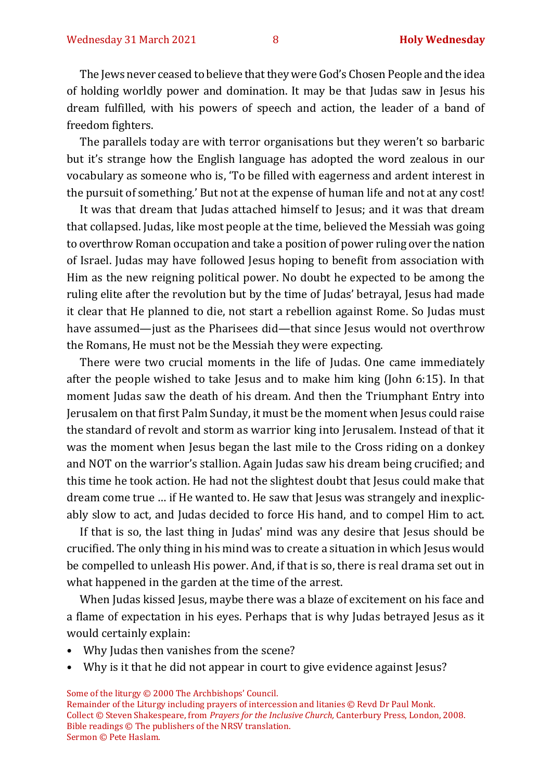The Jews never ceased to believe that they were God's Chosen People and the idea of holding worldly power and domination. It may be that Judas saw in Jesus his dream fulfilled, with his powers of speech and action, the leader of a band of freedom fighters.

The parallels today are with terror organisations but they weren't so barbaric but it's strange how the English language has adopted the word zealous in our vocabulary as someone who is, 'To be filled with eagerness and ardent interest in the pursuit of something.' But not at the expense of human life and not at any cost!

It was that dream that Judas attached himself to Jesus; and it was that dream that collapsed. Judas, like most people at the time, believed the Messiah was going to overthrow Roman occupation and take a position of power ruling over the nation of Israel. Judas may have followed Jesus hoping to benefit from association with Him as the new reigning political power. No doubt he expected to be among the ruling elite after the revolution but by the time of Judas' betrayal, Jesus had made it clear that He planned to die, not start a rebellion against Rome. So Judas must have assumed—just as the Pharisees did—that since Jesus would not overthrow the Romans, He must not be the Messiah they were expecting.

There were two crucial moments in the life of Judas. One came immediately after the people wished to take Jesus and to make him king (John 6:15). In that moment Judas saw the death of his dream. And then the Triumphant Entry into Jerusalem on that first Palm Sunday, it must be the moment when Jesus could raise the standard of revolt and storm as warrior king into Jerusalem. Instead of that it was the moment when Jesus began the last mile to the Cross riding on a donkey and NOT on the warrior's stallion. Again Judas saw his dream being crucified; and this time he took action. He had not the slightest doubt that Jesus could make that dream come true … if He wanted to. He saw that Jesus was strangely and inexplicably slow to act, and Judas decided to force His hand, and to compel Him to act.

If that is so, the last thing in Judas' mind was any desire that Jesus should be crucified. The only thing in his mind was to create a situation in which Jesus would be compelled to unleash His power. And, if that is so, there is real drama set out in what happened in the garden at the time of the arrest.

When Judas kissed Jesus, maybe there was a blaze of excitement on his face and a flame of expectation in his eyes. Perhaps that is why Judas betrayed Jesus as it would certainly explain:

- Why Judas then vanishes from the scene?
- Why is it that he did not appear in court to give evidence against Jesus?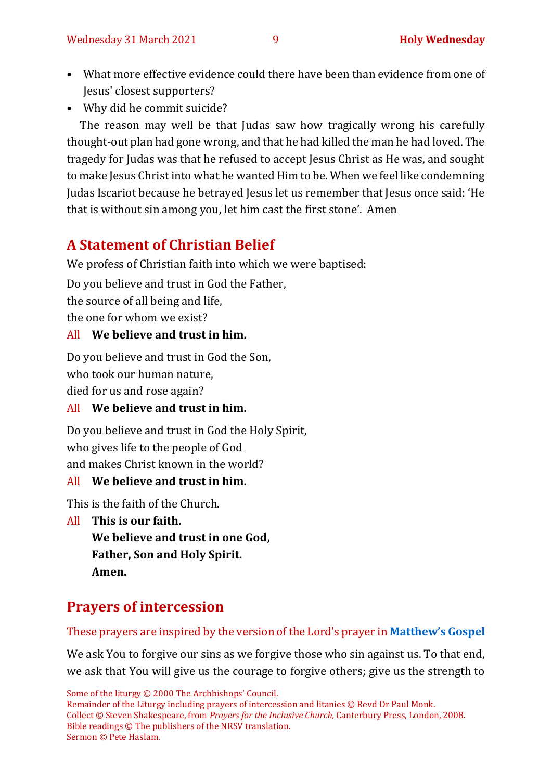- What more effective evidence could there have been than evidence from one of Jesus' closest supporters?
- Why did he commit suicide?

The reason may well be that Judas saw how tragically wrong his carefully thought-out plan had gone wrong, and that he had killed the man he had loved. The tragedy for Judas was that he refused to accept Jesus Christ as He was, and sought to make Jesus Christ into what he wanted Him to be. When we feel like condemning Judas Iscariot because he betrayed Jesus let us remember that Jesus once said: 'He that is without sin among you, let him cast the first stone'. Amen

# **A Statement of Christian Belief**

We profess of Christian faith into which we were baptised:

Do you believe and trust in God the Father,

the source of all being and life,

the one for whom we exist?

# All **We believe and trust in him.**

Do you believe and trust in God the Son,

who took our human nature,

died for us and rose again?

# All **We believe and trust in him.**

Do you believe and trust in God the Holy Spirit, who gives life to the people of God and makes Christ known in the world?

# All **We believe and trust in him.**

This is the faith of the Church.

All **This is our faith.**

**We believe and trust in one God, Father, Son and Holy Spirit. Amen.**

# **Prayers of intercession**

# These prayers are inspired by the version of the Lord's prayer in **[Matthew's Gospel](https://www.biblegateway.com/passage/?search=Matthew%206%3A9-13&version=NRSVA)**

We ask You to forgive our sins as we forgive those who sin against us. To that end, we ask that You will give us the courage to forgive others; give us the strength to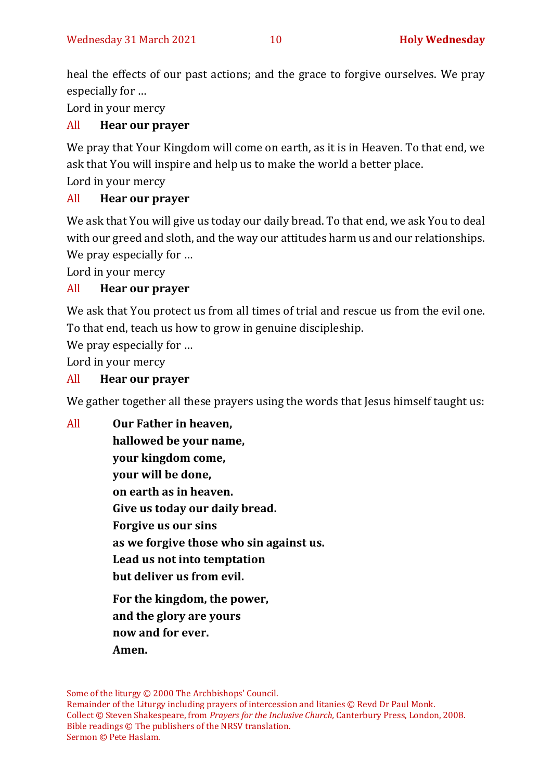heal the effects of our past actions; and the grace to forgive ourselves. We pray especially for …

Lord in your mercy

# All **Hear our prayer**

We pray that Your Kingdom will come on earth, as it is in Heaven. To that end, we ask that You will inspire and help us to make the world a better place.

Lord in your mercy

### All **Hear our prayer**

We ask that You will give us today our daily bread. To that end, we ask You to deal with our greed and sloth, and the way our attitudes harm us and our relationships. We pray especially for …

Lord in your mercy

# All **Hear our prayer**

We ask that You protect us from all times of trial and rescue us from the evil one. To that end, teach us how to grow in genuine discipleship.

We pray especially for …

Lord in your mercy

### All **Hear our prayer**

We gather together all these prayers using the words that Jesus himself taught us:

All **Our Father in heaven, hallowed be your name, your kingdom come, your will be done, on earth as in heaven. Give us today our daily bread. Forgive us our sins as we forgive those who sin against us. Lead us not into temptation but deliver us from evil. For the kingdom, the power, and the glory are yours now and for ever. Amen.**